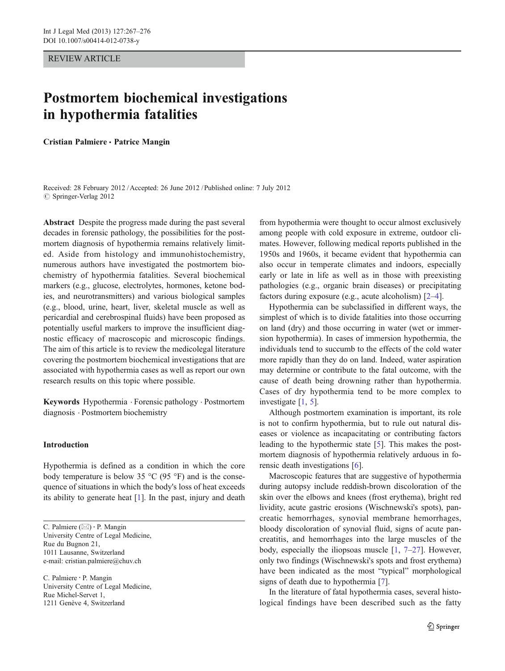#### REVIEW ARTICLE

# Postmortem biochemical investigations in hypothermia fatalities

Cristian Palmiere · Patrice Mangin

Received: 28 February 2012 /Accepted: 26 June 2012 / Published online: 7 July 2012 © Springer-Verlag 2012

Abstract Despite the progress made during the past several decades in forensic pathology, the possibilities for the postmortem diagnosis of hypothermia remains relatively limited. Aside from histology and immunohistochemistry, numerous authors have investigated the postmortem biochemistry of hypothermia fatalities. Several biochemical markers (e.g., glucose, electrolytes, hormones, ketone bodies, and neurotransmitters) and various biological samples (e.g., blood, urine, heart, liver, skeletal muscle as well as pericardial and cerebrospinal fluids) have been proposed as potentially useful markers to improve the insufficient diagnostic efficacy of macroscopic and microscopic findings. The aim of this article is to review the medicolegal literature covering the postmortem biochemical investigations that are associated with hypothermia cases as well as report our own research results on this topic where possible.

Keywords Hypothermia . Forensic pathology . Postmortem diagnosis . Postmortem biochemistry

## Introduction

Hypothermia is defined as a condition in which the core body temperature is below 35  $\degree$ C (95  $\degree$ F) and is the consequence of situations in which the body's loss of heat exceeds its ability to generate heat [[1\]](#page-7-0). In the past, injury and death

C. Palmiere : P. Mangin University Centre of Legal Medicine, Rue Michel-Servet 1, 1211 Genève 4, Switzerland

from hypothermia were thought to occur almost exclusively among people with cold exposure in extreme, outdoor climates. However, following medical reports published in the 1950s and 1960s, it became evident that hypothermia can also occur in temperate climates and indoors, especially early or late in life as well as in those with preexisting pathologies (e.g., organic brain diseases) or precipitating factors during exposure (e.g., acute alcoholism) [\[2](#page-7-0)–[4](#page-7-0)].

Hypothermia can be subclassified in different ways, the simplest of which is to divide fatalities into those occurring on land (dry) and those occurring in water (wet or immersion hypothermia). In cases of immersion hypothermia, the individuals tend to succumb to the effects of the cold water more rapidly than they do on land. Indeed, water aspiration may determine or contribute to the fatal outcome, with the cause of death being drowning rather than hypothermia. Cases of dry hypothermia tend to be more complex to investigate [\[1](#page-7-0), [5\]](#page-7-0).

Although postmortem examination is important, its role is not to confirm hypothermia, but to rule out natural diseases or violence as incapacitating or contributing factors leading to the hypothermic state [\[5](#page-7-0)]. This makes the postmortem diagnosis of hypothermia relatively arduous in forensic death investigations [\[6](#page-7-0)].

Macroscopic features that are suggestive of hypothermia during autopsy include reddish-brown discoloration of the skin over the elbows and knees (frost erythema), bright red lividity, acute gastric erosions (Wischnewski's spots), pancreatic hemorrhages, synovial membrane hemorrhages, bloody discoloration of synovial fluid, signs of acute pancreatitis, and hemorrhages into the large muscles of the body, especially the iliopsoas muscle [[1,](#page-7-0) [7](#page-7-0)–[27](#page-8-0)]. However, only two findings (Wischnewski's spots and frost erythema) have been indicated as the most "typical" morphological signs of death due to hypothermia [\[7](#page-7-0)].

In the literature of fatal hypothermia cases, several histological findings have been described such as the fatty

C. Palmiere  $(\boxtimes)$  · P. Mangin University Centre of Legal Medicine, Rue du Bugnon 21, 1011 Lausanne, Switzerland e-mail: cristian.palmiere@chuv.ch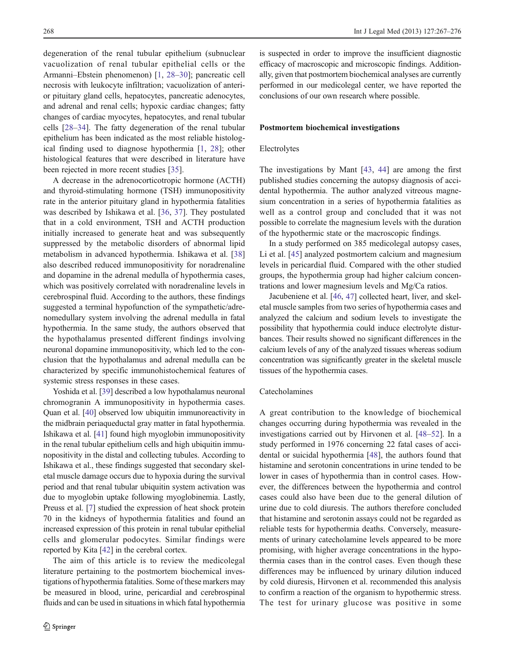degeneration of the renal tubular epithelium (subnuclear vacuolization of renal tubular epithelial cells or the Armanni–Ebstein phenomenon) [[1,](#page-7-0) [28](#page-8-0)–[30\]](#page-8-0); pancreatic cell necrosis with leukocyte infiltration; vacuolization of anterior pituitary gland cells, hepatocytes, pancreatic adenocytes, and adrenal and renal cells; hypoxic cardiac changes; fatty changes of cardiac myocytes, hepatocytes, and renal tubular cells [\[28](#page-8-0)–[34](#page-8-0)]. The fatty degeneration of the renal tubular epithelium has been indicated as the most reliable histological finding used to diagnose hypothermia [\[1](#page-7-0), [28](#page-8-0)]; other histological features that were described in literature have been rejected in more recent studies [\[35](#page-8-0)].

A decrease in the adrenocorticotropic hormone (ACTH) and thyroid-stimulating hormone (TSH) immunopositivity rate in the anterior pituitary gland in hypothermia fatalities was described by Ishikawa et al. [[36,](#page-8-0) [37\]](#page-8-0). They postulated that in a cold environment, TSH and ACTH production initially increased to generate heat and was subsequently suppressed by the metabolic disorders of abnormal lipid metabolism in advanced hypothermia. Ishikawa et al. [[38\]](#page-8-0) also described reduced immunopositivity for noradrenaline and dopamine in the adrenal medulla of hypothermia cases, which was positively correlated with noradrenaline levels in cerebrospinal fluid. According to the authors, these findings suggested a terminal hypofunction of the sympathetic/adrenomedullary system involving the adrenal medulla in fatal hypothermia. In the same study, the authors observed that the hypothalamus presented different findings involving neuronal dopamine immunopositivity, which led to the conclusion that the hypothalamus and adrenal medulla can be characterized by specific immunohistochemical features of systemic stress responses in these cases.

Yoshida et al. [\[39\]](#page-8-0) described a low hypothalamus neuronal chromogranin A immunopositivity in hypothermia cases. Quan et al. [[40](#page-8-0)] observed low ubiquitin immunoreactivity in the midbrain periaqueductal gray matter in fatal hypothermia. Ishikawa et al. [[41\]](#page-8-0) found high myoglobin immunopositivity in the renal tubular epithelium cells and high ubiquitin immunopositivity in the distal and collecting tubules. According to Ishikawa et al., these findings suggested that secondary skeletal muscle damage occurs due to hypoxia during the survival period and that renal tubular ubiquitin system activation was due to myoglobin uptake following myoglobinemia. Lastly, Preuss et al. [[7\]](#page-7-0) studied the expression of heat shock protein 70 in the kidneys of hypothermia fatalities and found an increased expression of this protein in renal tubular epithelial cells and glomerular podocytes. Similar findings were reported by Kita [[42](#page-8-0)] in the cerebral cortex.

The aim of this article is to review the medicolegal literature pertaining to the postmortem biochemical investigations of hypothermia fatalities. Some of these markers may be measured in blood, urine, pericardial and cerebrospinal fluids and can be used in situations in which fatal hypothermia is suspected in order to improve the insufficient diagnostic efficacy of macroscopic and microscopic findings. Additionally, given that postmortem biochemical analyses are currently performed in our medicolegal center, we have reported the conclusions of our own research where possible.

#### Postmortem biochemical investigations

#### Electrolytes

The investigations by Mant [[43,](#page-8-0) [44\]](#page-8-0) are among the first published studies concerning the autopsy diagnosis of accidental hypothermia. The author analyzed vitreous magnesium concentration in a series of hypothermia fatalities as well as a control group and concluded that it was not possible to correlate the magnesium levels with the duration of the hypothermic state or the macroscopic findings.

In a study performed on 385 medicolegal autopsy cases, Li et al. [\[45](#page-8-0)] analyzed postmortem calcium and magnesium levels in pericardial fluid. Compared with the other studied groups, the hypothermia group had higher calcium concentrations and lower magnesium levels and Mg/Ca ratios.

Jacubeniene et al. [[46,](#page-8-0) [47\]](#page-8-0) collected heart, liver, and skeletal muscle samples from two series of hypothermia cases and analyzed the calcium and sodium levels to investigate the possibility that hypothermia could induce electrolyte disturbances. Their results showed no significant differences in the calcium levels of any of the analyzed tissues whereas sodium concentration was significantly greater in the skeletal muscle tissues of the hypothermia cases.

#### Catecholamines

A great contribution to the knowledge of biochemical changes occurring during hypothermia was revealed in the investigations carried out by Hirvonen et al. [[48](#page-8-0)–[52\]](#page-8-0). In a study performed in 1976 concerning 22 fatal cases of accidental or suicidal hypothermia [[48\]](#page-8-0), the authors found that histamine and serotonin concentrations in urine tended to be lower in cases of hypothermia than in control cases. However, the differences between the hypothermia and control cases could also have been due to the general dilution of urine due to cold diuresis. The authors therefore concluded that histamine and serotonin assays could not be regarded as reliable tests for hypothermia deaths. Conversely, measurements of urinary catecholamine levels appeared to be more promising, with higher average concentrations in the hypothermia cases than in the control cases. Even though these differences may be influenced by urinary dilution induced by cold diuresis, Hirvonen et al. recommended this analysis to confirm a reaction of the organism to hypothermic stress. The test for urinary glucose was positive in some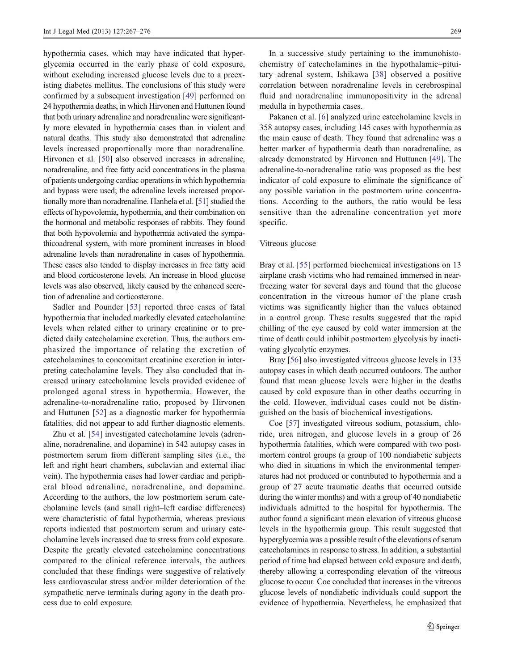hypothermia cases, which may have indicated that hyperglycemia occurred in the early phase of cold exposure, without excluding increased glucose levels due to a preexisting diabetes mellitus. The conclusions of this study were confirmed by a subsequent investigation [[49\]](#page-8-0) performed on 24 hypothermia deaths, in which Hirvonen and Huttunen found that both urinary adrenaline and noradrenaline were significantly more elevated in hypothermia cases than in violent and natural deaths. This study also demonstrated that adrenaline levels increased proportionally more than noradrenaline. Hirvonen et al. [[50](#page-8-0)] also observed increases in adrenaline, noradrenaline, and free fatty acid concentrations in the plasma of patients undergoing cardiac operations in which hypothermia and bypass were used; the adrenaline levels increased proportionally more than noradrenaline. Hanhela et al. [[51](#page-8-0)] studied the effects of hypovolemia, hypothermia, and their combination on the hormonal and metabolic responses of rabbits. They found that both hypovolemia and hypothermia activated the sympathicoadrenal system, with more prominent increases in blood adrenaline levels than noradrenaline in cases of hypothermia. These cases also tended to display increases in free fatty acid and blood corticosterone levels. An increase in blood glucose levels was also observed, likely caused by the enhanced secretion of adrenaline and corticosterone.

Sadler and Pounder [[53\]](#page-8-0) reported three cases of fatal hypothermia that included markedly elevated catecholamine levels when related either to urinary creatinine or to predicted daily catecholamine excretion. Thus, the authors emphasized the importance of relating the excretion of catecholamines to concomitant creatinine excretion in interpreting catecholamine levels. They also concluded that increased urinary catecholamine levels provided evidence of prolonged agonal stress in hypothermia. However, the adrenaline-to-noradrenaline ratio, proposed by Hirvonen and Huttunen [\[52](#page-8-0)] as a diagnostic marker for hypothermia fatalities, did not appear to add further diagnostic elements.

Zhu et al. [\[54](#page-8-0)] investigated catecholamine levels (adrenaline, noradrenaline, and dopamine) in 542 autopsy cases in postmortem serum from different sampling sites (i.e., the left and right heart chambers, subclavian and external iliac vein). The hypothermia cases had lower cardiac and peripheral blood adrenaline, noradrenaline, and dopamine. According to the authors, the low postmortem serum catecholamine levels (and small right–left cardiac differences) were characteristic of fatal hypothermia, whereas previous reports indicated that postmortem serum and urinary catecholamine levels increased due to stress from cold exposure. Despite the greatly elevated catecholamine concentrations compared to the clinical reference intervals, the authors concluded that these findings were suggestive of relatively less cardiovascular stress and/or milder deterioration of the sympathetic nerve terminals during agony in the death process due to cold exposure.

In a successive study pertaining to the immunohistochemistry of catecholamines in the hypothalamic–pituitary–adrenal system, Ishikawa [[38\]](#page-8-0) observed a positive correlation between noradrenaline levels in cerebrospinal fluid and noradrenaline immunopositivity in the adrenal medulla in hypothermia cases.

Pakanen et al. [\[6](#page-7-0)] analyzed urine catecholamine levels in 358 autopsy cases, including 145 cases with hypothermia as the main cause of death. They found that adrenaline was a better marker of hypothermia death than noradrenaline, as already demonstrated by Hirvonen and Huttunen [[49\]](#page-8-0). The adrenaline-to-noradrenaline ratio was proposed as the best indicator of cold exposure to eliminate the significance of any possible variation in the postmortem urine concentrations. According to the authors, the ratio would be less sensitive than the adrenaline concentration yet more specific.

#### Vitreous glucose

Bray et al. [\[55](#page-8-0)] performed biochemical investigations on 13 airplane crash victims who had remained immersed in nearfreezing water for several days and found that the glucose concentration in the vitreous humor of the plane crash victims was significantly higher than the values obtained in a control group. These results suggested that the rapid chilling of the eye caused by cold water immersion at the time of death could inhibit postmortem glycolysis by inactivating glycolytic enzymes.

Bray [\[56](#page-8-0)] also investigated vitreous glucose levels in 133 autopsy cases in which death occurred outdoors. The author found that mean glucose levels were higher in the deaths caused by cold exposure than in other deaths occurring in the cold. However, individual cases could not be distinguished on the basis of biochemical investigations.

Coe [\[57](#page-9-0)] investigated vitreous sodium, potassium, chloride, urea nitrogen, and glucose levels in a group of 26 hypothermia fatalities, which were compared with two postmortem control groups (a group of 100 nondiabetic subjects who died in situations in which the environmental temperatures had not produced or contributed to hypothermia and a group of 27 acute traumatic deaths that occurred outside during the winter months) and with a group of 40 nondiabetic individuals admitted to the hospital for hypothermia. The author found a significant mean elevation of vitreous glucose levels in the hypothermia group. This result suggested that hyperglycemia was a possible result of the elevations of serum catecholamines in response to stress. In addition, a substantial period of time had elapsed between cold exposure and death, thereby allowing a corresponding elevation of the vitreous glucose to occur. Coe concluded that increases in the vitreous glucose levels of nondiabetic individuals could support the evidence of hypothermia. Nevertheless, he emphasized that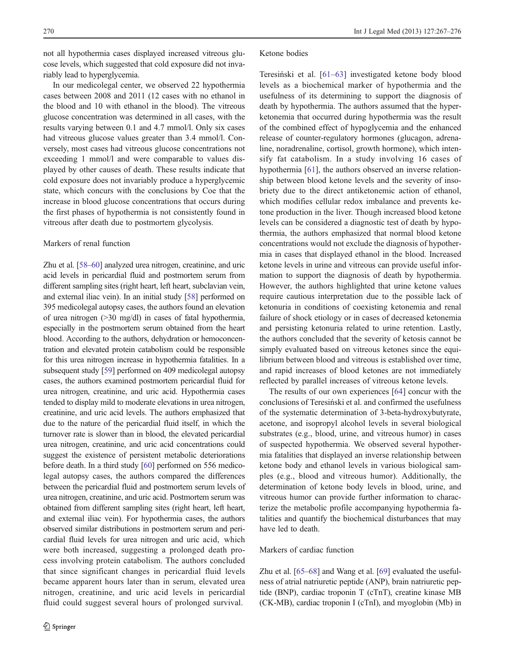not all hypothermia cases displayed increased vitreous glucose levels, which suggested that cold exposure did not invariably lead to hyperglycemia.

In our medicolegal center, we observed 22 hypothermia cases between 2008 and 2011 (12 cases with no ethanol in the blood and 10 with ethanol in the blood). The vitreous glucose concentration was determined in all cases, with the results varying between 0.1 and 4.7 mmol/l. Only six cases had vitreous glucose values greater than 3.4 mmol/l. Conversely, most cases had vitreous glucose concentrations not exceeding 1 mmol/l and were comparable to values displayed by other causes of death. These results indicate that cold exposure does not invariably produce a hyperglycemic state, which concurs with the conclusions by Coe that the increase in blood glucose concentrations that occurs during the first phases of hypothermia is not consistently found in vitreous after death due to postmortem glycolysis.

## Markers of renal function

Zhu et al. [\[58](#page-9-0)–[60\]](#page-9-0) analyzed urea nitrogen, creatinine, and uric acid levels in pericardial fluid and postmortem serum from different sampling sites (right heart, left heart, subclavian vein, and external iliac vein). In an initial study [[58](#page-9-0)] performed on 395 medicolegal autopsy cases, the authors found an elevation of urea nitrogen (>30 mg/dl) in cases of fatal hypothermia, especially in the postmortem serum obtained from the heart blood. According to the authors, dehydration or hemoconcentration and elevated protein catabolism could be responsible for this urea nitrogen increase in hypothermia fatalities. In a subsequent study [[59](#page-9-0)] performed on 409 medicolegal autopsy cases, the authors examined postmortem pericardial fluid for urea nitrogen, creatinine, and uric acid. Hypothermia cases tended to display mild to moderate elevations in urea nitrogen, creatinine, and uric acid levels. The authors emphasized that due to the nature of the pericardial fluid itself, in which the turnover rate is slower than in blood, the elevated pericardial urea nitrogen, creatinine, and uric acid concentrations could suggest the existence of persistent metabolic deteriorations before death. In a third study [\[60](#page-9-0)] performed on 556 medicolegal autopsy cases, the authors compared the differences between the pericardial fluid and postmortem serum levels of urea nitrogen, creatinine, and uric acid. Postmortem serum was obtained from different sampling sites (right heart, left heart, and external iliac vein). For hypothermia cases, the authors observed similar distributions in postmortem serum and pericardial fluid levels for urea nitrogen and uric acid, which were both increased, suggesting a prolonged death process involving protein catabolism. The authors concluded that since significant changes in pericardial fluid levels became apparent hours later than in serum, elevated urea nitrogen, creatinine, and uric acid levels in pericardial fluid could suggest several hours of prolonged survival.

#### Ketone bodies

Teresiński et al. [\[61](#page-9-0)–[63](#page-9-0)] investigated ketone body blood levels as a biochemical marker of hypothermia and the usefulness of its determining to support the diagnosis of death by hypothermia. The authors assumed that the hyperketonemia that occurred during hypothermia was the result of the combined effect of hypoglycemia and the enhanced release of counter-regulatory hormones (glucagon, adrenaline, noradrenaline, cortisol, growth hormone), which intensify fat catabolism. In a study involving 16 cases of hypothermia [\[61](#page-9-0)], the authors observed an inverse relationship between blood ketone levels and the severity of insobriety due to the direct antiketonemic action of ethanol, which modifies cellular redox imbalance and prevents ketone production in the liver. Though increased blood ketone levels can be considered a diagnostic test of death by hypothermia, the authors emphasized that normal blood ketone concentrations would not exclude the diagnosis of hypothermia in cases that displayed ethanol in the blood. Increased ketone levels in urine and vitreous can provide useful information to support the diagnosis of death by hypothermia. However, the authors highlighted that urine ketone values require cautious interpretation due to the possible lack of ketonuria in conditions of coexisting ketonemia and renal failure of shock etiology or in cases of decreased ketonemia and persisting ketonuria related to urine retention. Lastly, the authors concluded that the severity of ketosis cannot be simply evaluated based on vitreous ketones since the equilibrium between blood and vitreous is established over time, and rapid increases of blood ketones are not immediately reflected by parallel increases of vitreous ketone levels.

The results of our own experiences [\[64](#page-9-0)] concur with the conclusions of Teresiński et al. and confirmed the usefulness of the systematic determination of 3-beta-hydroxybutyrate, acetone, and isopropyl alcohol levels in several biological substrates (e.g., blood, urine, and vitreous humor) in cases of suspected hypothermia. We observed several hypothermia fatalities that displayed an inverse relationship between ketone body and ethanol levels in various biological samples (e.g., blood and vitreous humor). Additionally, the determination of ketone body levels in blood, urine, and vitreous humor can provide further information to characterize the metabolic profile accompanying hypothermia fatalities and quantify the biochemical disturbances that may have led to death.

#### Markers of cardiac function

Zhu et al. [[65](#page-9-0)–[68](#page-9-0)] and Wang et al. [\[69](#page-9-0)] evaluated the usefulness of atrial natriuretic peptide (ANP), brain natriuretic peptide (BNP), cardiac troponin T (cTnT), creatine kinase MB (CK-MB), cardiac troponin I (cTnI), and myoglobin (Mb) in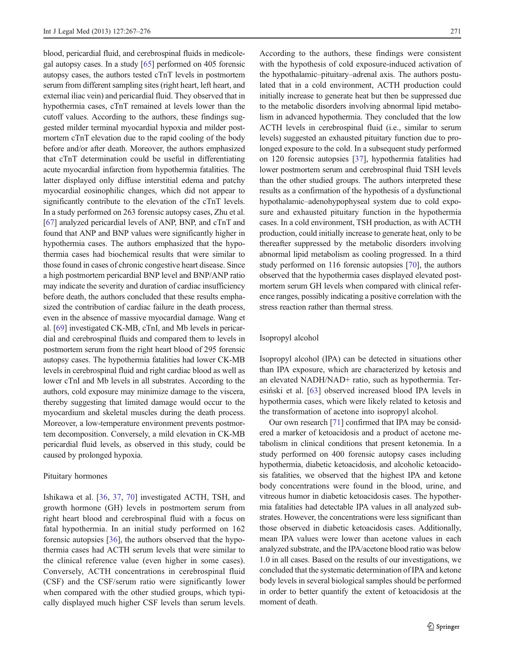blood, pericardial fluid, and cerebrospinal fluids in medicolegal autopsy cases. In a study [\[65\]](#page-9-0) performed on 405 forensic autopsy cases, the authors tested cTnT levels in postmortem serum from different sampling sites (right heart, left heart, and external iliac vein) and pericardial fluid. They observed that in hypothermia cases, cTnT remained at levels lower than the cutoff values. According to the authors, these findings suggested milder terminal myocardial hypoxia and milder postmortem cTnT elevation due to the rapid cooling of the body before and/or after death. Moreover, the authors emphasized that cTnT determination could be useful in differentiating acute myocardial infarction from hypothermia fatalities. The latter displayed only diffuse interstitial edema and patchy myocardial eosinophilic changes, which did not appear to significantly contribute to the elevation of the cTnT levels. In a study performed on 263 forensic autopsy cases, Zhu et al. [\[67\]](#page-9-0) analyzed pericardial levels of ANP, BNP, and cTnT and found that ANP and BNP values were significantly higher in hypothermia cases. The authors emphasized that the hypothermia cases had biochemical results that were similar to those found in cases of chronic congestive heart disease. Since a high postmortem pericardial BNP level and BNP/ANP ratio may indicate the severity and duration of cardiac insufficiency before death, the authors concluded that these results emphasized the contribution of cardiac failure in the death process, even in the absence of massive myocardial damage. Wang et al. [\[69\]](#page-9-0) investigated CK-MB, cTnI, and Mb levels in pericardial and cerebrospinal fluids and compared them to levels in postmortem serum from the right heart blood of 295 forensic autopsy cases. The hypothermia fatalities had lower CK-MB levels in cerebrospinal fluid and right cardiac blood as well as lower cTnI and Mb levels in all substrates. According to the authors, cold exposure may minimize damage to the viscera, thereby suggesting that limited damage would occur to the myocardium and skeletal muscles during the death process. Moreover, a low-temperature environment prevents postmortem decomposition. Conversely, a mild elevation in CK-MB pericardial fluid levels, as observed in this study, could be caused by prolonged hypoxia.

## Pituitary hormones

Ishikawa et al. [\[36](#page-8-0), [37](#page-8-0), [70](#page-9-0)] investigated ACTH, TSH, and growth hormone (GH) levels in postmortem serum from right heart blood and cerebrospinal fluid with a focus on fatal hypothermia. In an initial study performed on 162 forensic autopsies [[36\]](#page-8-0), the authors observed that the hypothermia cases had ACTH serum levels that were similar to the clinical reference value (even higher in some cases). Conversely, ACTH concentrations in cerebrospinal fluid (CSF) and the CSF/serum ratio were significantly lower when compared with the other studied groups, which typically displayed much higher CSF levels than serum levels.

According to the authors, these findings were consistent with the hypothesis of cold exposure-induced activation of the hypothalamic–pituitary–adrenal axis. The authors postulated that in a cold environment, ACTH production could initially increase to generate heat but then be suppressed due to the metabolic disorders involving abnormal lipid metabolism in advanced hypothermia. They concluded that the low ACTH levels in cerebrospinal fluid (i.e., similar to serum levels) suggested an exhausted pituitary function due to prolonged exposure to the cold. In a subsequent study performed on 120 forensic autopsies [[37\]](#page-8-0), hypothermia fatalities had lower postmortem serum and cerebrospinal fluid TSH levels than the other studied groups. The authors interpreted these results as a confirmation of the hypothesis of a dysfunctional hypothalamic–adenohypophyseal system due to cold exposure and exhausted pituitary function in the hypothermia cases. In a cold environment, TSH production, as with ACTH production, could initially increase to generate heat, only to be thereafter suppressed by the metabolic disorders involving abnormal lipid metabolism as cooling progressed. In a third study performed on 116 forensic autopsies [[70\]](#page-9-0), the authors observed that the hypothermia cases displayed elevated postmortem serum GH levels when compared with clinical reference ranges, possibly indicating a positive correlation with the stress reaction rather than thermal stress.

## Isopropyl alcohol

Isopropyl alcohol (IPA) can be detected in situations other than IPA exposure, which are characterized by ketosis and an elevated NADH/NAD+ ratio, such as hypothermia. Teresiński et al. [\[63](#page-9-0)] observed increased blood IPA levels in hypothermia cases, which were likely related to ketosis and the transformation of acetone into isopropyl alcohol.

Our own research [\[71](#page-9-0)] confirmed that IPA may be considered a marker of ketoacidosis and a product of acetone metabolism in clinical conditions that present ketonemia. In a study performed on 400 forensic autopsy cases including hypothermia, diabetic ketoacidosis, and alcoholic ketoacidosis fatalities, we observed that the highest IPA and ketone body concentrations were found in the blood, urine, and vitreous humor in diabetic ketoacidosis cases. The hypothermia fatalities had detectable IPA values in all analyzed substrates. However, the concentrations were less significant than those observed in diabetic ketoacidosis cases. Additionally, mean IPA values were lower than acetone values in each analyzed substrate, and the IPA/acetone blood ratio was below 1.0 in all cases. Based on the results of our investigations, we concluded that the systematic determination of IPA and ketone body levels in several biological samples should be performed in order to better quantify the extent of ketoacidosis at the moment of death.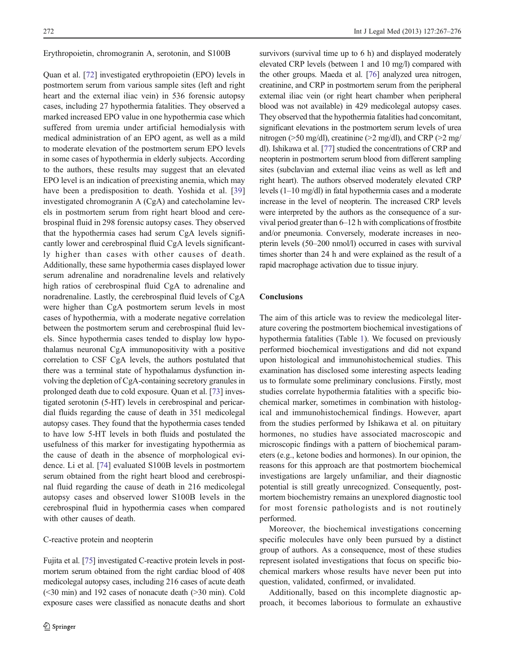Erythropoietin, chromogranin A, serotonin, and S100B

Quan et al. [\[72](#page-9-0)] investigated erythropoietin (EPO) levels in postmortem serum from various sample sites (left and right heart and the external iliac vein) in 536 forensic autopsy cases, including 27 hypothermia fatalities. They observed a marked increased EPO value in one hypothermia case which suffered from uremia under artificial hemodialysis with medical administration of an EPO agent, as well as a mild to moderate elevation of the postmortem serum EPO levels in some cases of hypothermia in elderly subjects. According to the authors, these results may suggest that an elevated EPO level is an indication of preexisting anemia, which may have been a predisposition to death. Yoshida et al. [[39\]](#page-8-0) investigated chromogranin A (CgA) and catecholamine levels in postmortem serum from right heart blood and cerebrospinal fluid in 298 forensic autopsy cases. They observed that the hypothermia cases had serum CgA levels significantly lower and cerebrospinal fluid CgA levels significantly higher than cases with other causes of death. Additionally, these same hypothermia cases displayed lower serum adrenaline and noradrenaline levels and relatively high ratios of cerebrospinal fluid CgA to adrenaline and noradrenaline. Lastly, the cerebrospinal fluid levels of CgA were higher than CgA postmortem serum levels in most cases of hypothermia, with a moderate negative correlation between the postmortem serum and cerebrospinal fluid levels. Since hypothermia cases tended to display low hypothalamus neuronal CgA immunopositivity with a positive correlation to CSF CgA levels, the authors postulated that there was a terminal state of hypothalamus dysfunction involving the depletion of CgA-containing secretory granules in prolonged death due to cold exposure. Quan et al. [\[73\]](#page-9-0) investigated serotonin (5-HT) levels in cerebrospinal and pericardial fluids regarding the cause of death in 351 medicolegal autopsy cases. They found that the hypothermia cases tended to have low 5-HT levels in both fluids and postulated the usefulness of this marker for investigating hypothermia as the cause of death in the absence of morphological evidence. Li et al. [[74\]](#page-9-0) evaluated S100B levels in postmortem serum obtained from the right heart blood and cerebrospinal fluid regarding the cause of death in 216 medicolegal autopsy cases and observed lower S100B levels in the cerebrospinal fluid in hypothermia cases when compared with other causes of death.

#### C-reactive protein and neopterin

Fujita et al. [[75\]](#page-9-0) investigated C-reactive protein levels in postmortem serum obtained from the right cardiac blood of 408 medicolegal autopsy cases, including 216 cases of acute death (<30 min) and 192 cases of nonacute death (>30 min). Cold exposure cases were classified as nonacute deaths and short survivors (survival time up to 6 h) and displayed moderately elevated CRP levels (between 1 and 10 mg/l) compared with the other groups. Maeda et al. [\[76\]](#page-9-0) analyzed urea nitrogen, creatinine, and CRP in postmortem serum from the peripheral external iliac vein (or right heart chamber when peripheral blood was not available) in 429 medicolegal autopsy cases. They observed that the hypothermia fatalities had concomitant, significant elevations in the postmortem serum levels of urea nitrogen (>50 mg/dl), creatinine (>2 mg/dl), and CRP (>2 mg/ dl). Ishikawa et al. [\[77\]](#page-9-0) studied the concentrations of CRP and neopterin in postmortem serum blood from different sampling sites (subclavian and external iliac veins as well as left and right heart). The authors observed moderately elevated CRP levels (1–10 mg/dl) in fatal hypothermia cases and a moderate increase in the level of neopterin. The increased CRP levels were interpreted by the authors as the consequence of a survival period greater than 6–12 h with complications of frostbite and/or pneumonia. Conversely, moderate increases in neopterin levels (50–200 nmol/l) occurred in cases with survival times shorter than 24 h and were explained as the result of a rapid macrophage activation due to tissue injury.

## **Conclusions**

The aim of this article was to review the medicolegal literature covering the postmortem biochemical investigations of hypothermia fatalities (Table [1\)](#page-6-0). We focused on previously performed biochemical investigations and did not expand upon histological and immunohistochemical studies. This examination has disclosed some interesting aspects leading us to formulate some preliminary conclusions. Firstly, most studies correlate hypothermia fatalities with a specific biochemical marker, sometimes in combination with histological and immunohistochemical findings. However, apart from the studies performed by Ishikawa et al. on pituitary hormones, no studies have associated macroscopic and microscopic findings with a pattern of biochemical parameters (e.g., ketone bodies and hormones). In our opinion, the reasons for this approach are that postmortem biochemical investigations are largely unfamiliar, and their diagnostic potential is still greatly unrecognized. Consequently, postmortem biochemistry remains an unexplored diagnostic tool for most forensic pathologists and is not routinely performed.

Moreover, the biochemical investigations concerning specific molecules have only been pursued by a distinct group of authors. As a consequence, most of these studies represent isolated investigations that focus on specific biochemical markers whose results have never been put into question, validated, confirmed, or invalidated.

Additionally, based on this incomplete diagnostic approach, it becomes laborious to formulate an exhaustive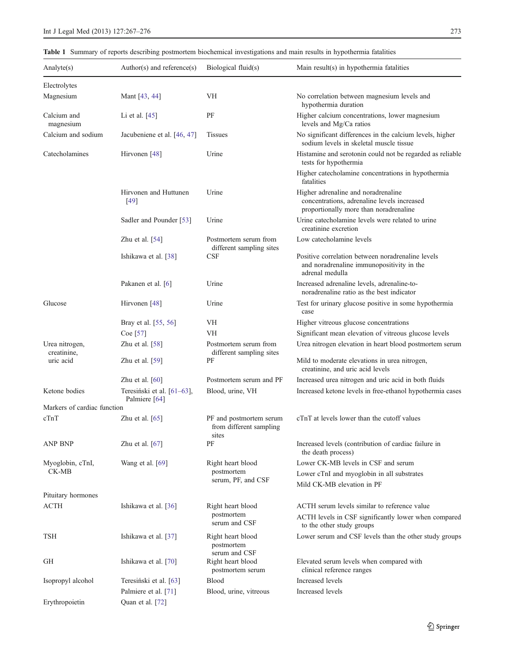# <span id="page-6-0"></span>Table 1 Summary of reports describing postmortem biochemical investigations and main results in hypothermia fatalities

| Analyte $(s)$                 | Author(s) and reference(s)                  | Biological fluid(s)                                         | Main result(s) in hypothermia fatalities                                                                                     |
|-------------------------------|---------------------------------------------|-------------------------------------------------------------|------------------------------------------------------------------------------------------------------------------------------|
| Electrolytes                  |                                             |                                                             |                                                                                                                              |
| Magnesium                     | Mant [43, 44]                               | VH                                                          | No correlation between magnesium levels and<br>hypothermia duration                                                          |
| Calcium and<br>magnesium      | Li et al. [45]                              | PF                                                          | Higher calcium concentrations, lower magnesium<br>levels and Mg/Ca ratios                                                    |
| Calcium and sodium            | Jacubeniene et al. [46, 47]                 | <b>Tissues</b>                                              | No significant differences in the calcium levels, higher<br>sodium levels in skeletal muscle tissue                          |
| Catecholamines                | Hirvonen [48]                               | Urine                                                       | Histamine and serotonin could not be regarded as reliable<br>tests for hypothermia                                           |
|                               |                                             |                                                             | Higher catecholamine concentrations in hypothermia<br>fatalities                                                             |
|                               | Hirvonen and Huttunen<br>$[49]$             | Urine                                                       | Higher adrenaline and noradrenaline<br>concentrations, adrenaline levels increased<br>proportionally more than noradrenaline |
|                               | Sadler and Pounder [53]                     | Urine                                                       | Urine catecholamine levels were related to urine<br>creatinine excretion                                                     |
|                               | Zhu et al. $[54]$                           | Postmortem serum from<br>different sampling sites           | Low catecholamine levels                                                                                                     |
|                               | Ishikawa et al. [38]                        | CSF                                                         | Positive correlation between noradrenaline levels<br>and noradrenaline immunopositivity in the<br>adrenal medulla            |
|                               | Pakanen et al. [6]                          | Urine                                                       | Increased adrenaline levels, adrenaline-to-<br>noradrenaline ratio as the best indicator                                     |
| Glucose                       | Hirvonen [48]                               | Urine                                                       | Test for urinary glucose positive in some hypothermia<br>case                                                                |
|                               | Bray et al. [55, 56]                        | VH                                                          | Higher vitreous glucose concentrations                                                                                       |
|                               | Coe $[57]$                                  | VH                                                          | Significant mean elevation of vitreous glucose levels                                                                        |
| Urea nitrogen,<br>creatinine, | Zhu et al. $[58]$                           | Postmortem serum from<br>different sampling sites           | Urea nitrogen elevation in heart blood postmortem serum                                                                      |
| uric acid                     | Zhu et al. $[59]$                           | РF                                                          | Mild to moderate elevations in urea nitrogen,<br>creatinine, and uric acid levels                                            |
|                               | Zhu et al. $[60]$                           | Postmortem serum and PF                                     | Increased urea nitrogen and uric acid in both fluids                                                                         |
| Ketone bodies                 | Teresiński et al. [61–63],<br>Palmiere [64] | Blood, urine, VH                                            | Increased ketone levels in free-ethanol hypothermia cases                                                                    |
| Markers of cardiac function   |                                             |                                                             |                                                                                                                              |
| cTnT                          | Zhu et al. $[65]$                           | PF and postmortem serum<br>from different sampling<br>sites | cTnT at levels lower than the cutoff values                                                                                  |
| ANP BNP                       | Zhu et al. $[67]$                           | PF                                                          | Increased levels (contribution of cardiac failure in<br>the death process)                                                   |
| Myoglobin, cTnI,              | Wang et al. [69]                            | Right heart blood                                           | Lower CK-MB levels in CSF and serum                                                                                          |
| CK-MB                         |                                             | postmortem                                                  | Lower cTnI and myoglobin in all substrates                                                                                   |
|                               |                                             | serum, PF, and CSF                                          | Mild CK-MB elevation in PF                                                                                                   |
| Pituitary hormones            |                                             |                                                             |                                                                                                                              |
| <b>ACTH</b>                   | Ishikawa et al. [36]                        | Right heart blood                                           | ACTH serum levels similar to reference value                                                                                 |
|                               |                                             | postmortem<br>serum and CSF                                 | ACTH levels in CSF significantly lower when compared<br>to the other study groups                                            |
| TSH                           | Ishikawa et al. [37]                        | Right heart blood<br>postmortem                             | Lower serum and CSF levels than the other study groups                                                                       |
| GH                            | Ishikawa et al. [70]                        | serum and CSF<br>Right heart blood<br>postmortem serum      | Elevated serum levels when compared with<br>clinical reference ranges                                                        |
| Isopropyl alcohol             | Teresiński et al. [63]                      | <b>Blood</b>                                                | Increased levels                                                                                                             |
|                               | Palmiere et al. [71]                        | Blood, urine, vitreous                                      | Increased levels                                                                                                             |
| Erythropoietin                | Quan et al. [72]                            |                                                             |                                                                                                                              |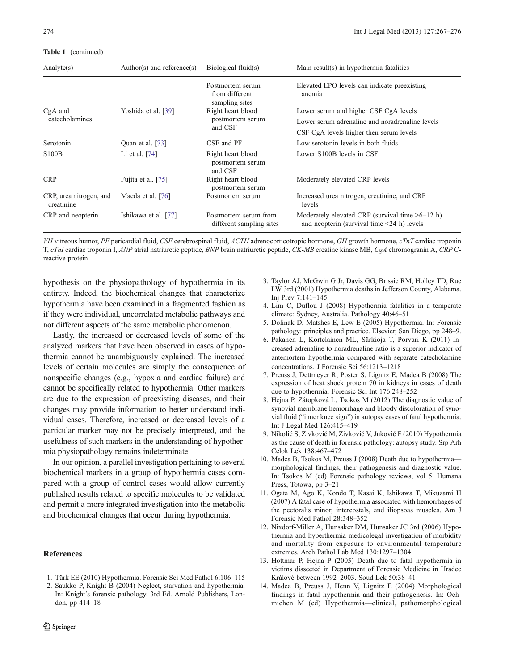#### <span id="page-7-0"></span>Table 1 (continued)

| Analyte $(s)$                         | Author(s) and reference(s) | Biological fluid(s)                                  | Main result(s) in hypothermia fatalities                                                              |
|---------------------------------------|----------------------------|------------------------------------------------------|-------------------------------------------------------------------------------------------------------|
|                                       |                            | Postmortem serum<br>from different<br>sampling sites | Elevated EPO levels can indicate preexisting<br>anemia                                                |
| $CgA$ and<br>catecholamines           | Yoshida et al. [39]        | Right heart blood<br>postmortem serum<br>and CSF     | Lower serum and higher CSF CgA levels                                                                 |
|                                       |                            |                                                      | Lower serum adrenaline and noradrenaline levels                                                       |
|                                       |                            |                                                      | CSF CgA levels higher then serum levels                                                               |
| Serotonin                             | Quan et al. [73]           | CSF and PF                                           | Low serotonin levels in both fluids                                                                   |
| <b>S100B</b>                          | Li et al. $[74]$           | Right heart blood<br>postmortem serum<br>and CSF     | Lower S100B levels in CSF                                                                             |
| <b>CRP</b>                            | Fujita et al. [75]         | Right heart blood<br>postmortem serum                | Moderately elevated CRP levels                                                                        |
| CRP, urea nitrogen, and<br>creatinine | Maeda et al. [76]          | Postmortem serum                                     | Increased urea nitrogen, creatinine, and CRP<br>levels                                                |
| CRP and neopterin                     | Ishikawa et al. [77]       | Postmortem serum from<br>different sampling sites    | Moderately elevated CRP (survival time $>6-12$ h)<br>and neopterin (survival time $\leq$ 24 h) levels |

VH vitreous humor, PF pericardial fluid, CSF cerebrospinal fluid, ACTH adrenocorticotropic hormone, GH growth hormone, cTnT cardiac troponin T, cTnI cardiac troponin I, ANP atrial natriuretic peptide, BNP brain natriuretic peptide, CK-MB creatine kinase MB, CgA chromogranin A, CRP Creactive protein

hypothesis on the physiopathology of hypothermia in its entirety. Indeed, the biochemical changes that characterize hypothermia have been examined in a fragmented fashion as if they were individual, uncorrelated metabolic pathways and not different aspects of the same metabolic phenomenon.

Lastly, the increased or decreased levels of some of the analyzed markers that have been observed in cases of hypothermia cannot be unambiguously explained. The increased levels of certain molecules are simply the consequence of nonspecific changes (e.g., hypoxia and cardiac failure) and cannot be specifically related to hypothermia. Other markers are due to the expression of preexisting diseases, and their changes may provide information to better understand individual cases. Therefore, increased or decreased levels of a particular marker may not be precisely interpreted, and the usefulness of such markers in the understanding of hypothermia physiopathology remains indeterminate.

In our opinion, a parallel investigation pertaining to several biochemical markers in a group of hypothermia cases compared with a group of control cases would allow currently published results related to specific molecules to be validated and permit a more integrated investigation into the metabolic and biochemical changes that occur during hypothermia.

#### **References**

- 1. Türk EE (2010) Hypothermia. Forensic Sci Med Pathol 6:106–115
- 2. Saukko P, Knight B (2004) Neglect, starvation and hypothermia. In: Knight's forensic pathology. 3rd Ed. Arnold Publishers, London, pp 414–18
- 3. Taylor AJ, McGwin G Jr, Davis GG, Brissie RM, Holley TD, Rue LW 3rd (2001) Hypothermia deaths in Jefferson County, Alabama. Inj Prev 7:141–145
- 4. Lim C, Duflou J (2008) Hypothermia fatalities in a temperate climate: Sydney, Australia. Pathology 40:46–51
- 5. Dolinak D, Matshes E, Lew E (2005) Hypothermia. In: Forensic pathology: principles and practice. Elsevier, San Diego, pp 248–9.
- 6. Pakanen L, Kortelainen ML, Särkioja T, Porvari K (2011) Increased adrenaline to noradrenaline ratio is a superior indicator of antemortem hypothermia compared with separate catecholamine concentrations. J Forensic Sci 56:1213–1218
- 7. Preuss J, Dettmeyer R, Poster S, Lignitz E, Madea B (2008) The expression of heat shock protein 70 in kidneys in cases of death due to hypothermia. Forensic Sci Int 176:248–252
- 8. Hejna P, Zátopková L, Tsokos M (2012) The diagnostic value of synovial membrane hemorrhage and bloody discoloration of synovial fluid ("inner knee sign") in autopsy cases of fatal hypothermia. Int J Legal Med 126:415–419
- 9. Nikolić S, Zivković M, Zivković V, Juković F (2010) Hypothermia as the cause of death in forensic pathology: autopsy study. Srp Arh Celok Lek 138:467–472
- 10. Madea B, Tsokos M, Preuss J (2008) Death due to hypothermia morphological findings, their pathogenesis and diagnostic value. In: Tsokos M (ed) Forensic pathology reviews, vol 5. Humana Press, Totowa, pp 3–21
- 11. Ogata M, Ago K, Kondo T, Kasai K, Ishikawa T, Mikuzami H (2007) A fatal case of hypothermia associated with hemorrhages of the pectoralis minor, intercostals, and iliopsoas muscles. Am J Forensic Med Pathol 28:348–352
- 12. Nixdorf-Miller A, Hunsaker DM, Hunsaker JC 3rd (2006) Hypothermia and hyperthermia medicolegal investigation of morbidity and mortality from exposure to environmental temperature extremes. Arch Pathol Lab Med 130:1297–1304
- 13. Hottmar P, Hejna P (2005) Death due to fatal hypothermia in victims dissected in Department of Forensic Medicine in Hradec Králové between 1992–2003. Soud Lek 50:38–41
- 14. Madea B, Preuss J, Henn V, Lignitz E (2004) Morphological findings in fatal hypothermia and their pathogenesis. In: Oehmichen M (ed) Hypothermia—clinical, pathomorphological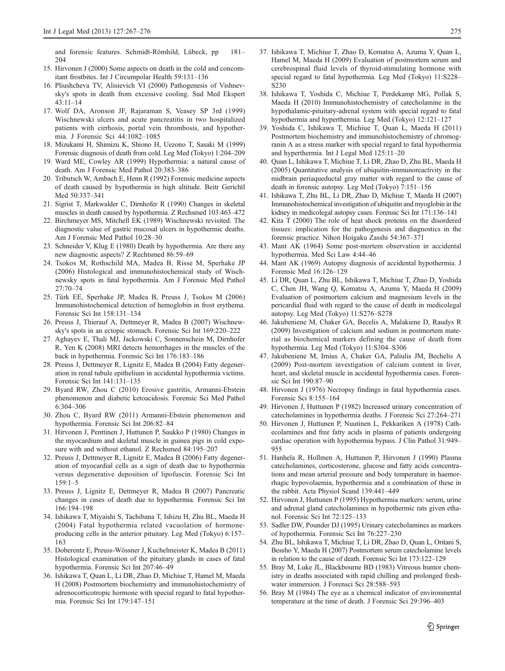<span id="page-8-0"></span>and forensic features. Schmidt-Römhild, Lübeck, pp 181– 204

- 15. Hirvonen J (2000) Some aspects on death in the cold and concomitant frostbites. Int J Circumpolar Health 59:131–136
- 16. Pliushcheva TV, Alisievich VI (2000) Pathogenesis of Vishnevsky's spots in death from excessive cooling. Sud Med Ekspert 43:11–14
- 17. Wolf DA, Aronson JF, Rajaraman S, Veasey SP 3rd (1999) Wischnewski ulcers and acute pancreatitis in two hospitalized patients with cirrhosis, portal vein thrombosis, and hypothermia. J Forensic Sci 44:1082–1085
- 18. Mizukami H, Shimizu K, Shiono H, Uezono T, Sasaki M (1999) Forensic diagnosis of death from cold. Leg Med (Tokyo) 1:204–209
- 19. Ward ME, Cowley AR (1999) Hypothermia: a natural cause of death. Am J Forensic Med Pathol 20:383–386
- 20. Tributsch W, Ambach E, Henn R (1992) Forensic medicine aspects of death caused by hypothermia in high altitude. Beitr Gerichtl Med 50:337–341
- 21. Sigrist T, Markwalder C, Dirnhofer R (1990) Changes in skeletal muscles in death caused by hypothermia. Z Rechsmed 103:463–472
- 22. Birchmeyer MS, Mitchell EK (1989) Wischnewski revisited. The diagnostic value of gastric mucosal ulcers in hypothermic deaths. Am J Forensic Med Pathol 10:28–30
- 23. Schneider V, Klug E (1980) Death by hypothermia. Are there any new diagnostic aspects? Z Rechtsmed 86:59–69
- 24. Tsokos M, Rothschild MA, Madea B, Risse M, Sperhake JP (2006) Histological and immunohistochemical study of Wischnewsky spots in fatal hypothermia. Am J Forensic Med Pathol 27:70–74
- 25. Türk EE, Sperhake JP, Madea B, Preuss J, Tsokos M (2006) Immunohistochemical detection of hemoglobin in frost erythema. Forensic Sci Int 158:131–134
- 26. Preuss J, Thierauf A, Dettmeyer R, Madea B (2007) Wischnewsky's spots in an ectopic stomach. Forensic Sci Int 169:220–222
- 27. Aghayev E, Thali MJ, Jackowski C, Sonnenschein M, Dirnhofer R, Yen K (2008) MRI detects hemorrhages in the muscles of the back in hypothermia. Forensic Sci Int 176:183–186
- 28. Preuss J, Dettmeyer R, Lignitz E, Madea B (2004) Fatty degeneration in renal tubule epithelium in accidental hypothermia victims. Forensic Sci Int 141:131–135
- 29. Byard RW, Zhou C (2010) Erosive gastritis, Armanni-Ebstein phenomenon and diabetic ketoacidosis. Forensic Sci Med Pathol 6:304–306
- 30. Zhou C, Byard RW (2011) Armanni-Ebstein phenomenon and hypothermia. Forensic Sci Int 206:82–84
- 31. Hirvonen J, Penttinen J, Huttunen P, Saukko P (1980) Changes in the myocardium and skeletal muscle in guinea pigs in cold exposure with and without ethanol. Z Rechsmed 84:195–207
- 32. Preuss J, Dettmeyer R, Lignitz E, Madea B (2006) Fatty degeneration of myocardial cells as a sign of death due to hypothermia versus degenerative deposition of lipofuscin. Forensic Sci Int 159:1–5
- 33. Preuss J, Lignitz E, Dettmeyer R, Madea B (2007) Pancreatic changes in cases of death due to hypothermia. Forensic Sci Int 166:194–198
- 34. Ishikawa T, Miyaishi S, Tachibana T, Ishizu H, Zhu BL, Maeda H (2004) Fatal hypothermia related vacuolation of hormoneproducing cells in the anterior pituitary. Leg Med (Tokyo) 6:157– 163
- 35. Doberentz E, Preuss-Wössner J, Kuchelmeister K, Madea B (2011) Histological examination of the pituitary glands in cases of fatal hypothermia. Forensic Sci Int 207:46–49
- 36. Ishikawa T, Quan L, Li DR, Zhao D, Michiue T, Hamel M, Maeda H (2008) Postmortem biochemistry and immunohistochemistry of adrenocorticotropic hormone with special regard to fatal hypothermia. Forensic Sci Int 179:147–151
- 37. Ishikawa T, Michiue T, Zhao D, Komatsu A, Azuma Y, Quan L, Hamel M, Maeda H (2009) Evaluation of postmortem serum and cerebrospinal fluid levels of thyroid-stimulating hormone with special regard to fatal hypothermia. Leg Med (Tokyo) 11:S228– S230
- 38. Ishikawa T, Yoshida C, Michiue T, Perdekamp MG, Pollak S, Maeda H (2010) Immunohistochemistry of catecholamine in the hypothalamic-pituitary-adrenal system with special regard to fatal hypothermia and hyperthermia. Leg Med (Tokyo) 12:121–127
- 39. Yoshida C, Ishikawa T, Michiue T, Quan L, Maeda H (2011) Postmortem biochemistry and immunohistochemistry of chromogranin A as a stress marker with special regard to fatal hypothermia and hyperthermia. Int J Legal Med 125:11–20
- 40. Quan L, Ishikawa T, Michiue T, Li DR, Zhao D, Zhu BL, Maeda H (2005) Quantitative analysis of ubiquitin-immunoreactivity in the midbrain periaqueductal gray matter with regard to the cause of death in forensic autopsy. Leg Med (Tokyo) 7:151–156
- 41. Ishikawa T, Zhu BL, Li DR, Zhao D, Michiue T, Maeda H (2007) Immunohistochemical investigation of ubiquitin and myoglobin in the kidney in medicolegal autopsy cases. Forensic Sci Int 171:136–141
- 42. Kita T (2000) The role of heat shock proteins on the disordered tissues: implication for the pathogenesis and diagnostics in the forensic practice. Nihon Hoigaku Zasshi 54:367–371
- 43. Mant AK (1964) Some post-mortem observation in accidental hypothermia. Med Sci Law 4:44–46
- 44. Mant AK (1969) Autopsy diagnosis of accidental hypothermia. J Forensic Med 16:126–129
- 45. Li DR, Quan L, Zhu BL, Ishikawa T, Michiue T, Zhao D, Yoshida C, Chen JH, Wang Q, Komatsu A, Azuma Y, Maeda H (2009) Evaluation of postmortem calcium and magnesium levels in the pericardial fluid with regard to the cause of death in medicolegal autopsy. Leg Med (Tokyo) 11:S276–S278
- 46. Jakubeniene M, Chaker GA, Becelis A, Malakiene D, Raudys R (2009) Investigation of calcium and sodium in postmortem material as biochemical markers defining the cause of death from hypothermia. Leg Med (Tokyo) 11:S304–S306
- 47. Jakubeniene M, Irnius A, Chaker GA, Paliulis JM, Bechelis A (2009) Post-mortem investigation of calcium content in liver, heart, and skeletal muscle in accidental hypothermia cases. Forensic Sci Int 190:87–90
- 48. Hirvonen J (1976) Necropsy findings in fatal hypothermia cases. Forensic Sci 8:155–164
- 49. Hirvonen J, Huttunen P (1982) Increased urinary concentration of catecholamines in hypothermia deaths. J Forensic Sci 27:264–271
- 50. Hirvonen J, Huttunen P, Nuutinen L, Pekkariken A (1978) Cathecolamines and free fatty acids in plasma of patients undergoing cardiac operation with hypothermia bypass. J Clin Pathol 31:949– 955
- 51. Hanhela R, Hollmen A, Huttunen P, Hirvonen J (1990) Plasma catecholamines, corticosterone, glucose and fatty acids concentrations and mean arterial pressure and body temperature in haemorrhagic hypovolaemia, hypothermia and a combination of these in the rabbit. Acta Physiol Scand 139:441–449
- 52. Hirvonen J, Huttunen P (1995) Hypothermia markers: serum, urine and adrenal gland catecholamines in hypothermic rats given ethanol. Forensic Sci Int 72:125–133
- 53. Sadler DW, Pounder DJ (1995) Urinary catecholamines as markers of hypothermia. Forensic Sci Int 76:227–230
- 54. Zhu BL, Ishikawa T, Michiue T, Li DR, Zhao D, Quan L, Oritani S, Bessho Y, Maeda H (2007) Postmortem serum catecholamine levels in relation to the cause of death. Forensic Sci Int 173:122–129
- 55. Bray M, Luke JL, Blackbourne BD (1983) Vitreous humor chemistry in deaths associated with rapid chilling and prolonged freshwater immersion. J Forensci Sci 28:588–593
- 56. Bray M (1984) The eye as a chemical indicator of environmental temperature at the time of death. J Forensic Sci 29:396–403